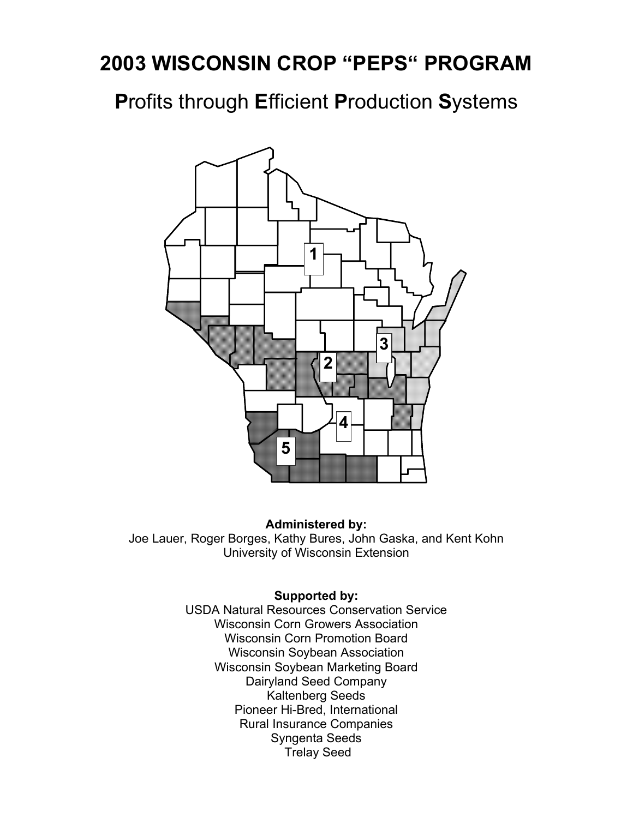**P**rofits through **E**fficient **P**roduction **S**ystems



#### **Administered by:**

Joe Lauer, Roger Borges, Kathy Bures, John Gaska, and Kent Kohn University of Wisconsin Extension

#### **Supported by:**

USDA Natural Resources Conservation Service Wisconsin Corn Growers Association Wisconsin Corn Promotion Board Wisconsin Soybean Association Wisconsin Soybean Marketing Board Dairyland Seed Company Kaltenberg Seeds Pioneer Hi-Bred, International Rural Insurance Companies Syngenta Seeds Trelay Seed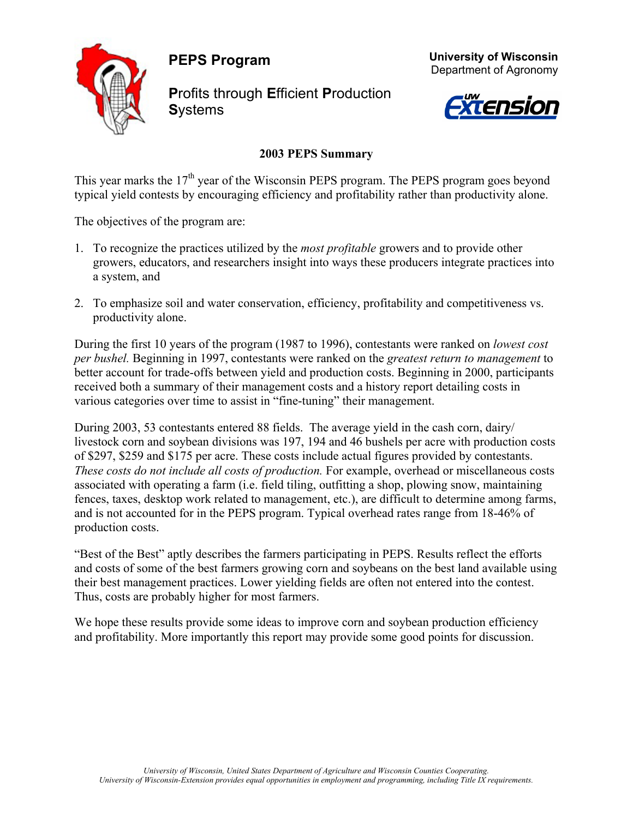**PEPS Program** 



**P**rofits through **E**fficient **P**roduction **S**ystems





### **2003 PEPS Summary**

This year marks the  $17<sup>th</sup>$  year of the Wisconsin PEPS program. The PEPS program goes beyond typical yield contests by encouraging efficiency and profitability rather than productivity alone.

The objectives of the program are:

- 1. To recognize the practices utilized by the *most profitable* growers and to provide other growers, educators, and researchers insight into ways these producers integrate practices into a system, and
- 2. To emphasize soil and water conservation, efficiency, profitability and competitiveness vs. productivity alone.

During the first 10 years of the program (1987 to 1996), contestants were ranked on *lowest cost per bushel.* Beginning in 1997, contestants were ranked on the *greatest return to management* to better account for trade-offs between yield and production costs. Beginning in 2000, participants received both a summary of their management costs and a history report detailing costs in various categories over time to assist in "fine-tuning" their management.

During 2003, 53 contestants entered 88 fields. The average yield in the cash corn, dairy/ livestock corn and soybean divisions was 197, 194 and 46 bushels per acre with production costs of \$297, \$259 and \$175 per acre. These costs include actual figures provided by contestants. *These costs do not include all costs of production.* For example, overhead or miscellaneous costs associated with operating a farm (i.e. field tiling, outfitting a shop, plowing snow, maintaining fences, taxes, desktop work related to management, etc.), are difficult to determine among farms, and is not accounted for in the PEPS program. Typical overhead rates range from 18-46% of production costs.

"Best of the Best" aptly describes the farmers participating in PEPS. Results reflect the efforts and costs of some of the best farmers growing corn and soybeans on the best land available using their best management practices. Lower yielding fields are often not entered into the contest. Thus, costs are probably higher for most farmers.

We hope these results provide some ideas to improve corn and soybean production efficiency and profitability. More importantly this report may provide some good points for discussion.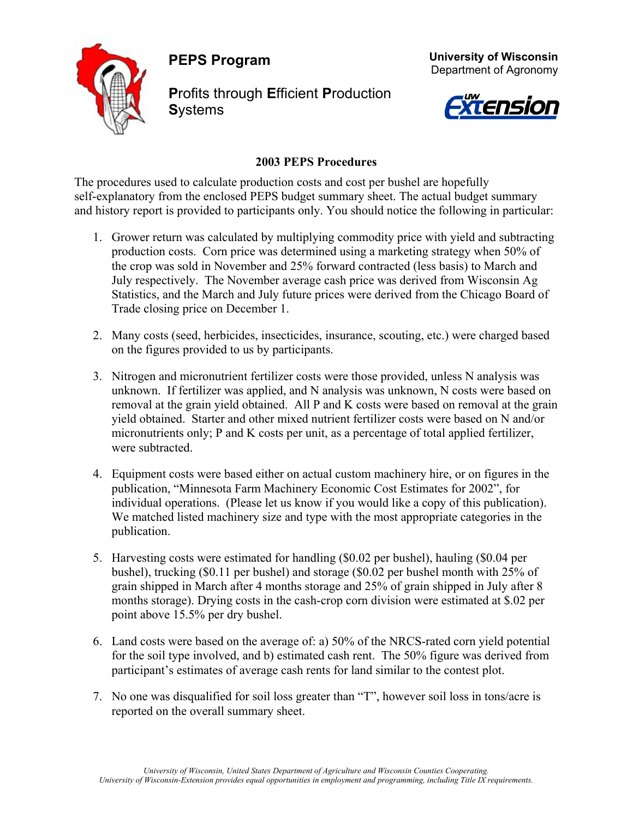**PEPS Program** 



**P**rofits through **E**fficient **P**roduction **S**ystems





#### **2003 PEPS Procedures**

The procedures used to calculate production costs and cost per bushel are hopefully self-explanatory from the enclosed PEPS budget summary sheet. The actual budget summary and history report is provided to participants only. You should notice the following in particular:

- 1. Grower return was calculated by multiplying commodity price with yield and subtracting production costs. Corn price was determined using a marketing strategy when 50% of the crop was sold in November and 25% forward contracted (less basis) to March and July respectively. The November average cash price was derived from Wisconsin Ag Statistics, and the March and July future prices were derived from the Chicago Board of Trade closing price on December 1.
- 2. Many costs (seed, herbicides, insecticides, insurance, scouting, etc.) were charged based on the figures provided to us by participants.
- 3. Nitrogen and micronutrient fertilizer costs were those provided, unless N analysis was unknown. If fertilizer was applied, and N analysis was unknown, N costs were based on removal at the grain yield obtained. All P and K costs were based on removal at the grain yield obtained. Starter and other mixed nutrient fertilizer costs were based on N and/or micronutrients only; P and K costs per unit, as a percentage of total applied fertilizer, were subtracted.
- 4. Equipment costs were based either on actual custom machinery hire, or on figures in the publication, "Minnesota Farm Machinery Economic Cost Estimates for 2002", for individual operations. (Please let us know if you would like a copy of this publication). We matched listed machinery size and type with the most appropriate categories in the publication.
- 5. Harvesting costs were estimated for handling (\$0.02 per bushel), hauling (\$0.04 per bushel), trucking (\$0.11 per bushel) and storage (\$0.02 per bushel month with 25% of grain shipped in March after 4 months storage and 25% of grain shipped in July after 8 months storage). Drying costs in the cash-crop corn division were estimated at \$.02 per point above 15.5% per dry bushel.
- 6. Land costs were based on the average of: a) 50% of the NRCS-rated corn yield potential for the soil type involved, and b) estimated cash rent. The 50% figure was derived from participant's estimates of average cash rents for land similar to the contest plot.
- 7. No one was disqualified for soil loss greater than "T", however soil loss in tons/acre is reported on the overall summary sheet.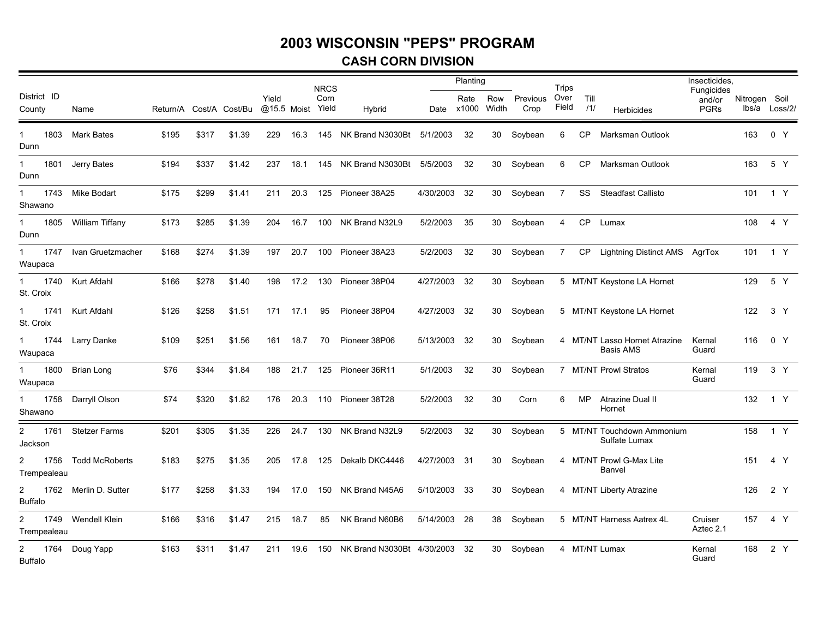#### **CASH CORN DIVISION**

|                                        |                       |       |       |                         |       |             | <b>NRCS</b>   |                            |              | Planting      |              |                  | <b>Trips</b>   |             |                                             | Insecticides,                       |               |               |
|----------------------------------------|-----------------------|-------|-------|-------------------------|-------|-------------|---------------|----------------------------|--------------|---------------|--------------|------------------|----------------|-------------|---------------------------------------------|-------------------------------------|---------------|---------------|
| District ID<br>County                  | Name                  |       |       | Return/A Cost/A Cost/Bu | Yield | @15.5 Moist | Corn<br>Yield | Hybrid                     | Date         | Rate<br>x1000 | Row<br>Width | Previous<br>Crop | Over<br>Field  | Till<br>/1/ | Herbicides                                  | Fungicides<br>and/or<br><b>PGRs</b> | Nitrogen Soil | lbs/a Loss/2/ |
| 1803<br>$\mathbf{1}$<br>Dunn           | <b>Mark Bates</b>     | \$195 | \$317 | \$1.39                  | 229   | 16.3        |               | 145 NK Brand N3030Bt       | 5/1/2003     | 32            | 30           | Soybean          | 6              | CP          | Marksman Outlook                            |                                     | 163           | 0 Y           |
| 1801<br>1<br>Dunn                      | Jerry Bates           | \$194 | \$337 | \$1.42                  | 237   | 18.1        | 145           | NK Brand N3030Bt 5/5/2003  |              | 32            | 30           | Soybean          | 6              | <b>CP</b>   | Marksman Outlook                            |                                     | 163           | 5 Y           |
| 1743<br>Shawano                        | Mike Bodart           | \$175 | \$299 | \$1.41                  | 211   | 20.3        | 125           | Pioneer 38A25              | 4/30/2003    | -32           | 30           | Soybean          | $\overline{7}$ | SS          | <b>Steadfast Callisto</b>                   |                                     |               | 101 1 Y       |
| 1805<br>1<br>Dunn                      | William Tiffany       | \$173 | \$285 | \$1.39                  | 204   | 16.7        | 100           | NK Brand N32L9             | 5/2/2003     | 35            | 30           | Soybean          | 4              | <b>CP</b>   | Lumax                                       |                                     | 108           | 4 Y           |
| 1747<br>$\mathbf 1$<br>Waupaca         | Ivan Gruetzmacher     | \$168 | \$274 | \$1.39                  | 197   | 20.7        | 100           | Pioneer 38A23              | 5/2/2003     | 32            | 30           | Soybean          | $7^{\circ}$    | CP          | Lightning Distinct AMS AgrTox               |                                     |               | 101 1 Y       |
| 1740<br>$\mathbf{1}$<br>St. Croix      | Kurt Afdahl           | \$166 | \$278 | \$1.40                  | 198   | 17.2        | 130           | Pioneer 38P04              | 4/27/2003    | 32            | 30           | Soybean          |                |             | 5 MT/NT Keystone LA Hornet                  |                                     | 129           | 5 Y           |
| 1741<br>$\mathbf 1$<br>St. Croix       | Kurt Afdahl           | \$126 | \$258 | \$1.51                  | 171   | 17.1        | 95            | Pioneer 38P04              | 4/27/2003 32 |               | 30           | Soybean          |                |             | 5 MT/NT Keystone LA Hornet                  |                                     | 122           | 3 Y           |
| 1744<br>$\mathbf 1$<br>Waupaca         | Larry Danke           | \$109 | \$251 | \$1.56                  | 161   | 18.7        | 70            | Pioneer 38P06              | 5/13/2003    | -32           | 30           | Soybean          |                |             | 4 MT/NT Lasso Hornet Atrazine<br>Basis AMS  | Kernal<br>Guard                     | 116           | 0 Y           |
| 1800<br>1<br>Waupaca                   | Brian Long            | \$76  | \$344 | \$1.84                  | 188   | 21.7        |               | 125 Pioneer 36R11          | 5/1/2003     | 32            | 30           | Soybean          |                |             | 7 MT/NT Prowl Stratos                       | Kernal<br>Guard                     |               | 119 3 Y       |
| $\mathbf{1}$<br>1758<br>Shawano        | Darryll Olson         | \$74  | \$320 | \$1.82                  | 176   | 20.3        |               | 110 Pioneer 38T28          | 5/2/2003     | 32            | 30           | Corn             | 6              | <b>MP</b>   | Atrazine Dual II<br>Hornet                  |                                     | 132           | 1 Y           |
| $\overline{2}$<br>1761<br>Jackson      | <b>Stetzer Farms</b>  | \$201 | \$305 | \$1.35                  | 226   | 24.7        | 130           | NK Brand N32L9             | 5/2/2003     | 32            | 30           | Soybean          |                |             | 5 MT/NT Touchdown Ammonium<br>Sulfate Lumax |                                     | 158           | 1 Y           |
| $\overline{2}$<br>1756<br>Trempealeau  | <b>Todd McRoberts</b> | \$183 | \$275 | \$1.35                  | 205   | 17.8        | 125           | Dekalb DKC4446             | 4/27/2003 31 |               | 30           | Soybean          |                |             | 4 MT/NT Prowl G-Max Lite<br>Banvel          |                                     | 151           | 4 Y           |
| $\mathbf{2}$<br>1762<br><b>Buffalo</b> | Merlin D. Sutter      | \$177 | \$258 | \$1.33                  | 194   | 17.0        | 150           | NK Brand N45A6             | 5/10/2003    | -33           | 30           | Soybean          |                |             | 4 MT/NT Liberty Atrazine                    |                                     | 126           | 2 Y           |
| $\overline{2}$<br>1749<br>Trempealeau  | Wendell Klein         | \$166 | \$316 | \$1.47                  | 215   | 18.7        | 85            | NK Brand N60B6             | 5/14/2003    | -28           | 38           | Soybean          |                |             | 5 MT/NT Harness Aatrex 4L                   | Cruiser<br>Aztec 2.1                | 157           | 4 Y           |
| $\mathbf{2}$<br>1764<br><b>Buffalo</b> | Doug Yapp             | \$163 | \$311 | \$1.47                  | 211   | 19.6        | 150           | NK Brand N3030Bt 4/30/2003 |              | -32           | 30           | Soybean          |                |             | 4 MT/NT Lumax                               | Kernal<br>Guard                     | 168           | 2 Y           |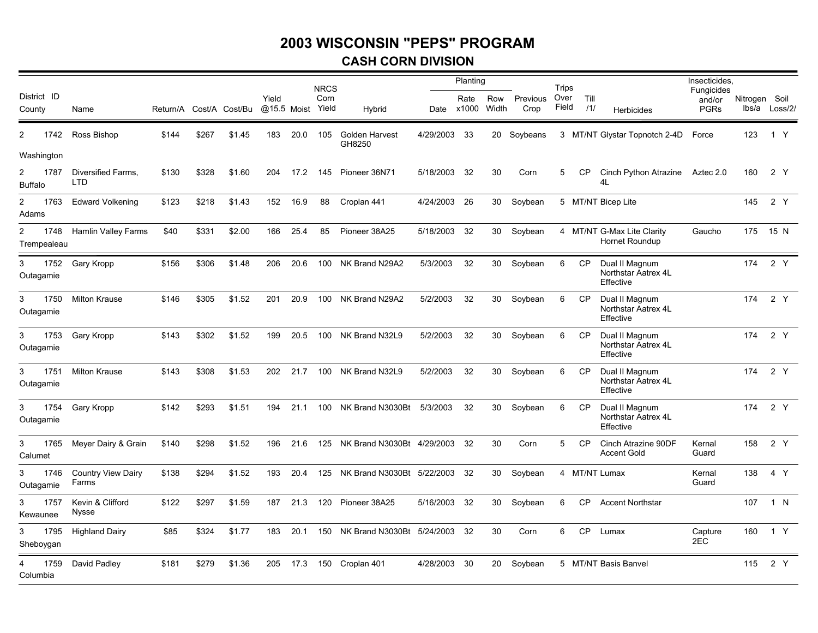#### **CASH CORN DIVISION**

|                             |                                    |                         |       |        |                      |      | <b>NRCS</b>   |                               |              | Planting      |              |                  | <b>Trips</b>  |             |                                                    | Insecticides,                       |               |               |
|-----------------------------|------------------------------------|-------------------------|-------|--------|----------------------|------|---------------|-------------------------------|--------------|---------------|--------------|------------------|---------------|-------------|----------------------------------------------------|-------------------------------------|---------------|---------------|
| District ID<br>County       | Name                               | Return/A Cost/A Cost/Bu |       |        | Yield<br>@15.5 Moist |      | Corn<br>Yield | Hybrid                        | Date         | Rate<br>x1000 | Row<br>Width | Previous<br>Crop | Over<br>Field | Till<br>/1/ | Herbicides                                         | Fungicides<br>and/or<br><b>PGRs</b> | Nitrogen Soil | lbs/a Loss/2/ |
| 1742<br>2                   | Ross Bishop                        | \$144                   | \$267 | \$1.45 | 183                  | 20.0 | 105           | Golden Harvest<br>GH8250      | 4/29/2003    | 33            |              | 20 Soybeans      |               |             | 3 MT/NT Glystar Topnotch 2-4D                      | Force                               | 123           | 1 Y           |
| Washington                  |                                    |                         |       |        |                      |      |               |                               |              |               |              |                  |               |             |                                                    |                                     |               |               |
| 1787<br>2<br><b>Buffalo</b> | Diversified Farms,<br>LTD.         | \$130                   | \$328 | \$1.60 | 204                  | 17.2 | 145           | Pioneer 36N71                 | 5/18/2003    | - 32          | 30           | Corn             | 5             | СP          | Cinch Python Atrazine<br>4L                        | Aztec 2.0                           | 160           | 2 Y           |
| 2<br>Adams                  | 1763 Edward Volkening              | \$123                   | \$218 | \$1.43 | 152                  | 16.9 | 88            | Croplan 441                   | 4/24/2003    | 26            | 30           | Soybean          |               |             | 5 MT/NT Bicep Lite                                 |                                     | 145           | 2 Y           |
| 2<br>Trempealeau            | 1748 Hamlin Valley Farms           | \$40                    | \$331 | \$2.00 | 166                  | 25.4 | 85            | Pioneer 38A25                 | 5/18/2003    | 32            | 30           | Soybean          |               |             | 4 MT/NT G-Max Lite Clarity<br>Hornet Roundup       | Gaucho                              |               | 175 15 N      |
| 3<br>1752<br>Outagamie      | Gary Kropp                         | \$156                   | \$306 | \$1.48 | 206                  | 20.6 | 100           | NK Brand N29A2                | 5/3/2003     | 32            | 30           | Soybean          | 6             | CP          | Dual II Magnum<br>Northstar Aatrex 4L<br>Effective |                                     | 174           | 2 Y           |
| 1750<br>3<br>Outagamie      | <b>Milton Krause</b>               | \$146                   | \$305 | \$1.52 | 201                  | 20.9 | 100           | NK Brand N29A2                | 5/2/2003     | 32            | 30           | Soybean          | 6             | <b>CP</b>   | Dual II Magnum<br>Northstar Aatrex 4L<br>Effective |                                     | 174           | 2 Y           |
| 3<br>1753<br>Outagamie      | Gary Kropp                         | \$143                   | \$302 | \$1.52 | 199                  | 20.5 | 100           | NK Brand N32L9                | 5/2/2003     | 32            | 30           | Soybean          | 6             | <b>CP</b>   | Dual II Magnum<br>Northstar Aatrex 4L<br>Effective |                                     | 174           | 2 Y           |
| 3<br>1751<br>Outagamie      | <b>Milton Krause</b>               | \$143                   | \$308 | \$1.53 | 202                  | 21.7 | 100           | NK Brand N32L9                | 5/2/2003     | 32            | 30           | Soybean          | 6             | CP          | Dual II Magnum<br>Northstar Aatrex 4L<br>Effective |                                     | 174           | 2 Y           |
| 1754<br>3<br>Outagamie      | Gary Kropp                         | \$142                   | \$293 | \$1.51 | 194                  | 21.1 | 100           | NK Brand N3030Bt              | 5/3/2003     | 32            | 30           | Soybean          | 6             | <b>CP</b>   | Dual II Magnum<br>Northstar Aatrex 4L<br>Effective |                                     | 174           | 2 Y           |
| 1765<br>3<br>Calumet        | Meyer Dairy & Grain                | \$140                   | \$298 | \$1.52 | 196                  | 21.6 | 125           | NK Brand N3030Bt 4/29/2003    |              | - 32          | 30           | Corn             | 5             | <b>CP</b>   | Cinch Atrazine 90DF<br><b>Accent Gold</b>          | Kernal<br>Guard                     | 158           | 2 Y           |
| 1746<br>3<br>Outagamie      | <b>Country View Dairy</b><br>Farms | \$138                   | \$294 | \$1.52 | 193                  | 20.4 | 125           | NK Brand N3030Bt 5/22/2003 32 |              |               | 30           | Soybean          |               |             | 4 MT/NT Lumax                                      | Kernal<br>Guard                     | 138           | 4 Y           |
| 1757<br>3<br>Kewaunee       | Kevin & Clifford<br>Nysse          | \$122                   | \$297 | \$1.59 | 187                  | 21.3 | 120           | Pioneer 38A25                 | 5/16/2003 32 |               | 30           | Soybean          | 6             | CP          | <b>Accent Northstar</b>                            |                                     | 107           | 1 N           |
| 1795<br>3<br>Sheboygan      | <b>Highland Dairy</b>              | \$85                    | \$324 | \$1.77 | 183                  | 20.1 | 150           | NK Brand N3030Bt 5/24/2003    |              | 32            | 30           | Corn             | 6             | CP          | Lumax                                              | Capture<br>2EC                      | 160           | 1 Y           |
| 1759<br>Columbia            | David Padley                       | \$181                   | \$279 | \$1.36 | 205                  | 17.3 | 150           | Croplan 401                   | 4/28/2003    | 30            | 20           | Soybean          |               |             | 5 MT/NT Basis Banvel                               |                                     | 115           | 2 Y           |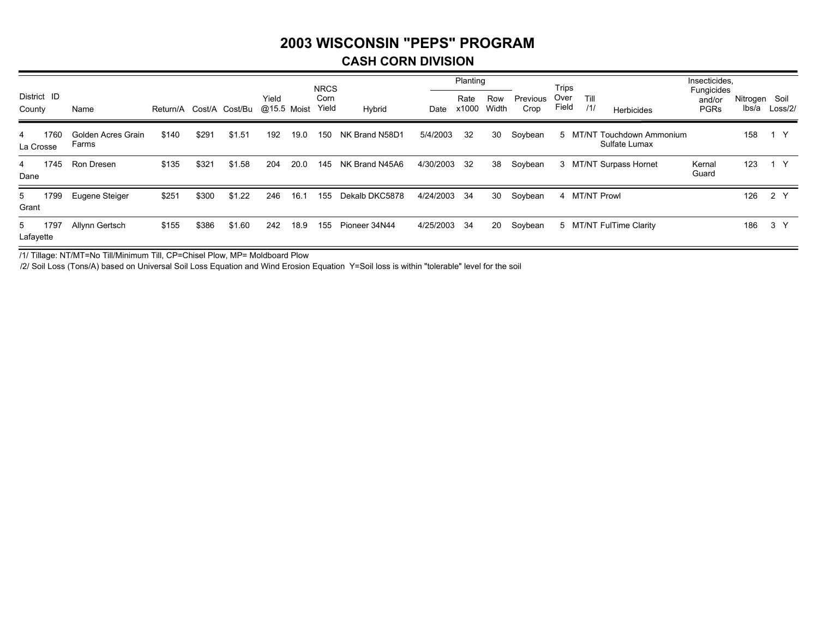#### **CASH CORN DIVISION**

|                        |                             |                         |       |        |                      |      | <b>NRCS</b>   |                |           | Planting      |              |                  | Trips         |             |                                     | Insecticides,                       |                   |                 |
|------------------------|-----------------------------|-------------------------|-------|--------|----------------------|------|---------------|----------------|-----------|---------------|--------------|------------------|---------------|-------------|-------------------------------------|-------------------------------------|-------------------|-----------------|
| District ID<br>County  | Name                        | Return/A Cost/A Cost/Bu |       |        | Yield<br>@15.5 Moist |      | Corn<br>Yield | Hybrid         | Date      | Rate<br>x1000 | Row<br>Width | Previous<br>Crop | Over<br>Field | Till<br>/1/ | Herbicides                          | Fungicides<br>and/or<br><b>PGRs</b> | Nitrogen<br>lbs/a | Soil<br>Loss/2/ |
| 1760<br>4<br>La Crosse | Golden Acres Grain<br>Farms | \$140                   | \$291 | \$1.51 | 192                  | 19.0 | 150           | NK Brand N58D1 | 5/4/2003  | 32            | 30           | Soybean          |               | 5 MT/NT     | Touchdown Ammonium<br>Sulfate Lumax |                                     | 158               | 1 Y             |
| 1745<br>4<br>Dane      | Ron Dresen                  | \$135                   | \$321 | \$1.58 | 204                  | 20.0 | 145           | NK Brand N45A6 | 4/30/2003 | -32           | 38           | Soybean          |               |             | 3 MT/NT Surpass Hornet              | Kernal<br>Guard                     | 123               |                 |
| 1799<br>5<br>Grant     | Eugene Steiger              | \$251                   | \$300 | \$1.22 | 246                  | 16.1 | 155           | Dekalb DKC5878 | 4/24/2003 | 34            | 30           | Soybean          |               |             | 4 MT/NT Prowl                       |                                     | 126               | 2 Y             |
| 1797<br>5<br>Lafayette | Allynn Gertsch              | \$155                   | \$386 | \$1.60 | 242                  | 18.9 | 155           | Pioneer 34N44  | 4/25/2003 | 34            | 20           | Soybean          |               |             | 5 MT/NT FulTime Clarity             |                                     | 186               | 3 <sup>7</sup>  |

/1/ Tillage: NT/MT=No Till/Minimum Till, CP=Chisel Plow, MP= Moldboard Plow

/2/ Soil Loss (Tons/A) based on Universal Soil Loss Equation and Wind Erosion Equation Y=Soil loss is within "tolerable" level for the soil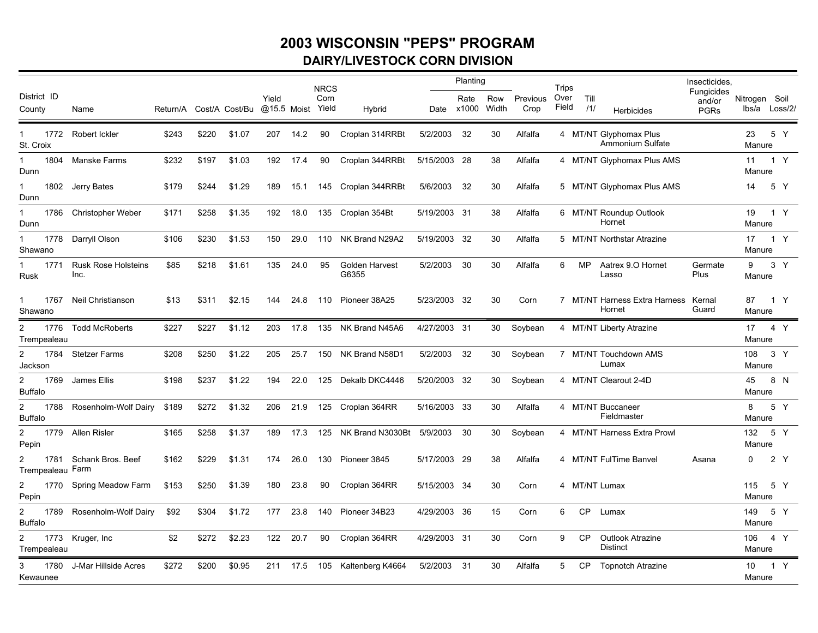### **2003 WISCONSIN "PEPS" PROGRAM DAIRY/LIVESTOCK CORN DIVISION**

|                                          |                                    |       |       |                         |                      |      | <b>NRCS</b>   |                         |              | Planting           |              |                  | Trips         |             |                                                   | Insecticides.                       |                                |                |  |
|------------------------------------------|------------------------------------|-------|-------|-------------------------|----------------------|------|---------------|-------------------------|--------------|--------------------|--------------|------------------|---------------|-------------|---------------------------------------------------|-------------------------------------|--------------------------------|----------------|--|
| District ID<br>County                    | Name                               |       |       | Return/A Cost/A Cost/Bu | Yield<br>@15.5 Moist |      | Corn<br>Yield | Hybrid                  |              | Rate<br>Date x1000 | Row<br>Width | Previous<br>Crop | Over<br>Field | Till<br>/1/ | Herbicides                                        | Fungicides<br>and/or<br><b>PGRs</b> | Nitrogen Soil<br>lbs/a Loss/2/ |                |  |
| St. Croix                                | 1772 Robert Ickler                 | \$243 | \$220 | \$1.07                  | 207                  | 14.2 | 90            | Croplan 314RRBt         | 5/2/2003     | -32                | 30           | Alfalfa          |               |             | 4 MT/NT Glyphomax Plus<br><b>Ammonium Sulfate</b> |                                     | 23<br>Manure                   | 5 Y            |  |
| Dunn                                     | 1804 Manske Farms                  | \$232 | \$197 | \$1.03                  | 192                  | 17.4 | 90            | Croplan 344RRBt         | 5/15/2003 28 |                    | 38           | Alfalfa          |               |             | 4 MT/NT Glyphomax Plus AMS                        |                                     | 11<br>Manure                   | 1 Y            |  |
| 1<br>Dunn                                | 1802 Jerry Bates                   | \$179 | \$244 | \$1.29                  | 189                  | 15.1 | 145           | Croplan 344RRBt         | 5/6/2003     | 32                 | 30           | Alfalfa          |               |             | 5 MT/NT Glyphomax Plus AMS                        |                                     | 14                             | 5 Y            |  |
| 1786<br>1<br>Dunn                        | <b>Christopher Weber</b>           | \$171 | \$258 | \$1.35                  | 192                  | 18.0 |               | 135 Croplan 354Bt       | 5/19/2003 31 |                    | 38           | Alfalfa          |               |             | 6 MT/NT Roundup Outlook<br>Hornet                 |                                     | 19<br>Manure                   | 1 Y            |  |
| 1778<br>$\mathbf 1$<br>Shawano           | Darryll Olson                      | \$106 | \$230 | \$1.53                  | 150                  | 29.0 |               | 110 NK Brand N29A2      | 5/19/2003 32 |                    | 30           | Alfalfa          |               |             | 5 MT/NT Northstar Atrazine                        |                                     | 17<br>Manure                   | 1 Y            |  |
| 1771<br><b>Rusk</b>                      | <b>Rusk Rose Holsteins</b><br>Inc. | \$85  | \$218 | \$1.61                  | 135                  | 24.0 | 95            | Golden Harvest<br>G6355 | 5/2/2003     | 30                 | 30           | Alfalfa          | 6             | <b>MP</b>   | Aatrex 9.O Hornet<br>Lasso                        | Germate<br>Plus                     | 9<br>Manure                    | 3 <sup>Y</sup> |  |
| $\mathbf{1}$<br>1767<br>Shawano          | Neil Christianson                  | \$13  | \$311 | \$2.15                  | 144                  | 24.8 | 110           | Pioneer 38A25           | 5/23/2003 32 |                    | 30           | Corn             |               |             | 7 MT/NT Harness Extra Harness<br>Hornet           | Kernal<br>Guard                     | 87<br>Manure                   | 1 Y            |  |
| 2<br>Trempealeau                         | 1776 Todd McRoberts                | \$227 | \$227 | \$1.12                  | 203                  | 17.8 |               | 135 NK Brand N45A6      | 4/27/2003 31 |                    | 30           | Soybean          |               |             | 4 MT/NT Liberty Atrazine                          |                                     | 17 4 Y<br>Manure               |                |  |
| $\overline{2}$<br>Jackson                | 1784 Stetzer Farms                 | \$208 | \$250 | \$1.22                  | 205                  | 25.7 | 150           | NK Brand N58D1          | 5/2/2003     | 32                 | 30           | Soybean          |               |             | 7 MT/NT Touchdown AMS<br>Lumax                    |                                     | 108<br>Manure                  | 3 Y            |  |
| $\overline{2}$<br><b>Buffalo</b>         | 1769 James Ellis                   | \$198 | \$237 | \$1.22                  | 194                  | 22.0 | 125           | Dekalb DKC4446          | 5/20/2003 32 |                    | 30           | Soybean          |               |             | 4 MT/NT Clearout 2-4D                             |                                     | 45<br>Manure                   | 8 N            |  |
| $\overline{2}$<br>1788<br><b>Buffalo</b> | Rosenholm-Wolf Dairy               | \$189 | \$272 | \$1.32                  | 206                  | 21.9 | 125           | Croplan 364RR           | 5/16/2003 33 |                    | 30           | Alfalfa          |               |             | 4 MT/NT Buccaneer<br>Fieldmaster                  |                                     | 8<br>Manure                    | 5 Y            |  |
| $\overline{c}$<br>Pepin                  | 1779 Allen Risler                  | \$165 | \$258 | \$1.37                  | 189                  | 17.3 | 125           | NK Brand N3030Bt        | 5/9/2003     | 30                 | 30           | Soybean          |               |             | 4 MT/NT Harness Extra Prowl                       |                                     | 132<br>Manure                  | 5 Y            |  |
| 1781<br>Trempealeau Farm                 | Schank Bros, Beef                  | \$162 | \$229 | \$1.31                  | 174                  | 26.0 |               | 130 Pioneer 3845        | 5/17/2003 29 |                    | 38           | Alfalfa          |               |             | 4 MT/NT FulTime Banvel                            | Asana                               | 0                              | 2 Y            |  |
| $\overline{2}$<br>Pepin                  | 1770 Spring Meadow Farm            | \$153 | \$250 | \$1.39                  | 180                  | 23.8 | 90            | Croplan 364RR           | 5/15/2003 34 |                    | 30           | Corn             |               |             | 4 MT/NT Lumax                                     |                                     | 115<br>Manure                  | 5 Y            |  |
| $\overline{2}$<br>1789<br><b>Buffalo</b> | Rosenholm-Wolf Dairy               | \$92  | \$304 | \$1.72                  | 177                  | 23.8 | 140           | Pioneer 34B23           | 4/29/2003 36 |                    | 15           | Corn             | 6             | <b>CP</b>   | Lumax                                             |                                     | 149<br>Manure                  | 5 Y            |  |
| 2<br>Trempealeau                         | 1773 Kruger, Inc                   | \$2   | \$272 | \$2.23                  | 122                  | 20.7 | 90            | Croplan 364RR           | 4/29/2003 31 |                    | 30           | Corn             | 9             | <b>CP</b>   | Outlook Atrazine<br><b>Distinct</b>               |                                     | 106<br>Manure                  | 4 Y            |  |
| 3<br>1780<br>Kewaunee                    | J-Mar Hillside Acres               | \$272 | \$200 | \$0.95                  | 211                  | 17.5 | 105           | Kaltenberg K4664        | 5/2/2003 31  |                    | 30           | Alfalfa          | 5             | СP          | <b>Topnotch Atrazine</b>                          |                                     | 10<br>Manure                   | 1 Y            |  |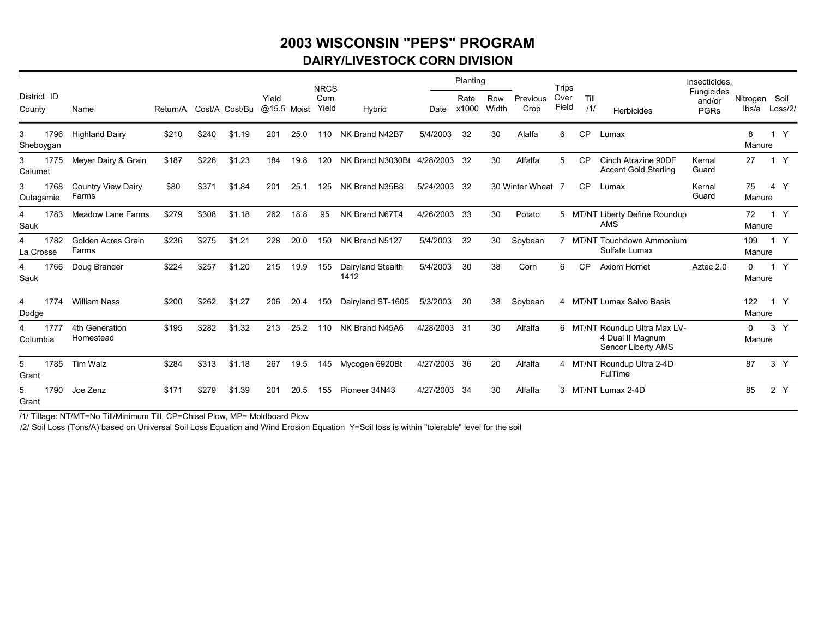### **2003 WISCONSIN "PEPS" PROGRAMDAIRY/LIVESTOCK CORN DIVISION**

|                        |                                    |                         |       |        |                      |      | <b>NRCS</b>   |                            |              | Planting      |              |                  | <b>Trips</b>   |             |                                                                         | Insecticides.                       |                        |                   |
|------------------------|------------------------------------|-------------------------|-------|--------|----------------------|------|---------------|----------------------------|--------------|---------------|--------------|------------------|----------------|-------------|-------------------------------------------------------------------------|-------------------------------------|------------------------|-------------------|
| District ID<br>County  | Name                               | Return/A Cost/A Cost/Bu |       |        | Yield<br>@15.5 Moist |      | Corn<br>Yield | Hybrid                     | Date         | Rate<br>x1000 | Row<br>Width | Previous<br>Crop | Over<br>Field  | Till<br>111 | <b>Herbicides</b>                                                       | Fungicides<br>and/or<br><b>PGRs</b> | Nitrogen Soil<br>lbs/a | Loss/2/           |
| 1796<br>3<br>Sheboygan | <b>Highland Dairy</b>              | \$210                   | \$240 | \$1.19 | 201                  | 25.0 | 110           | NK Brand N42B7             | 5/4/2003     | 32            | 30           | Alalfa           | 6              | <b>CP</b>   | Lumax                                                                   |                                     | 8<br>Manure            | $\mathsf{Y}$<br>1 |
| 1775<br>3<br>Calumet   | Meyer Dairy & Grain                | \$187                   | \$226 | \$1.23 | 184                  | 19.8 | 120           | NK Brand N3030Bt 4/28/2003 |              | -32           | 30           | Alfalfa          | 5              | <b>CP</b>   | Cinch Atrazine 90DF<br><b>Accent Gold Sterling</b>                      | Kernal<br>Guard                     | 27                     | 1 Y               |
| 1768<br>3<br>Outagamie | <b>Country View Dairy</b><br>Farms | \$80                    | \$371 | \$1.84 | 201                  | 25.1 | 125           | NK Brand N35B8             | 5/24/2003    | - 32          |              | 30 Winter Wheat  |                | <b>CP</b>   | Lumax                                                                   | Kernal<br>Guard                     | 75<br>Manure           | 4 Y               |
| 1783<br>4<br>Sauk      | Meadow Lane Farms                  | \$279                   | \$308 | \$1.18 | 262                  | 18.8 | 95            | NK Brand N67T4             | 4/26/2003    | - 33          | 30           | Potato           |                |             | 5 MT/NT Liberty Define Roundup<br><b>AMS</b>                            |                                     | 72<br>Manure           | 1 Y               |
| 1782<br>4<br>La Crosse | Golden Acres Grain<br>Farms        | \$236                   | \$275 | \$1.21 | 228                  | 20.0 | 150           | NK Brand N5127             | 5/4/2003     | 32            | 30           | Soybean          | $\overline{7}$ |             | MT/NT Touchdown Ammonium<br>Sulfate Lumax                               |                                     | 109<br>Manure          | 1 Y               |
| 1766<br>4<br>Sauk      | Doug Brander                       | \$224                   | \$257 | \$1.20 | 215                  | 19.9 | 155           | Dairyland Stealth<br>1412  | 5/4/2003     | 30            | 38           | Corn             | 6              | CP          | Axiom Hornet                                                            | Aztec 2.0                           | $\Omega$<br>Manure     | 1 Y               |
| 4<br>1774<br>Dodge     | <b>William Nass</b>                | \$200                   | \$262 | \$1.27 | 206                  | 20.4 | 150           | Dairyland ST-1605          | 5/3/2003     | 30            | 38           | Soybean          |                |             | 4 MT/NT Lumax Salvo Basis                                               |                                     | 122<br>Manure          | 1 Y               |
| 1777<br>Columbia       | 4th Generation<br>Homestead        | \$195                   | \$282 | \$1.32 | 213                  | 25.2 | 110           | NK Brand N45A6             | 4/28/2003 31 |               | 30           | Alfalfa          |                |             | 6 MT/NT Roundup Ultra Max LV-<br>4 Dual II Magnum<br>Sencor Liberty AMS |                                     | $\Omega$<br>Manure     | 3 <sup>Y</sup>    |
| 1785<br>5<br>Grant     | Tim Walz                           | \$284                   | \$313 | \$1.18 | 267                  | 19.5 | 145           | Mycogen 6920Bt             | 4/27/2003    | -36           | 20           | Alfalfa          |                |             | 4 MT/NT Roundup Ultra 2-4D<br>FulTime                                   |                                     | 87                     | 3 <sup>Y</sup>    |
| 1790<br>5<br>Grant     | Joe Zenz                           | \$171                   | \$279 | \$1.39 | 201                  | 20.5 | 155           | Pioneer 34N43              | 4/27/2003    | 34            | 30           | Alfalfa          |                |             | 3 MT/NT Lumax 2-4D                                                      |                                     | 85                     | 2Y                |

/1/ Tillage: NT/MT=No Till/Minimum Till, CP=Chisel Plow, MP= Moldboard Plow

/2/ Soil Loss (Tons/A) based on Universal Soil Loss Equation and Wind Erosion Equation Y=Soil loss is within "tolerable" level for the soil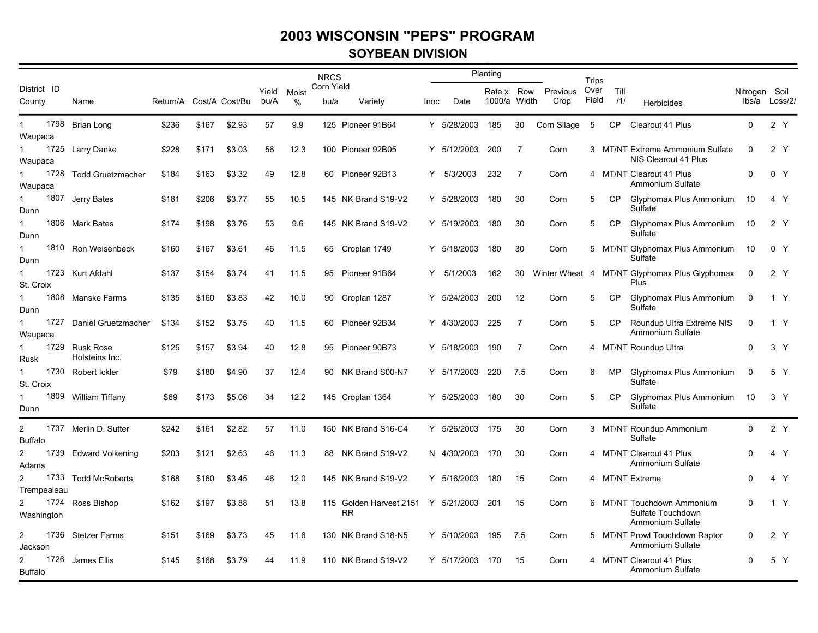### **SOYBEAN DIVISION**

|                                          |                                  |                         |       |        |               |            | <b>NRCS</b>        |                                      |      |                 | Planting                   |      |                  | Trips         |             |                                                                     |               |                |
|------------------------------------------|----------------------------------|-------------------------|-------|--------|---------------|------------|--------------------|--------------------------------------|------|-----------------|----------------------------|------|------------------|---------------|-------------|---------------------------------------------------------------------|---------------|----------------|
| District ID<br>County                    | Name                             | Return/A Cost/A Cost/Bu |       |        | Yield<br>bu/A | Moist<br>% | Corn Yield<br>bu/a | Variety                              | Inoc | Date            | Rate x Row<br>1000/a Width |      | Previous<br>Crop | Over<br>Field | Till<br>111 | <b>Herbicides</b>                                                   | Nitrogen Soil | lbs/a Loss/2/  |
| 1<br>Waupaca                             | 1798 Brian Long                  | \$236                   | \$167 | \$2.93 | 57            | 9.9        |                    | 125 Pioneer 91B64                    |      | Y 5/28/2003     | 185                        | 30   | Corn Silage      | - 5           | CP          | Clearout 41 Plus                                                    | $\Omega$      | 2 Y            |
| $\mathbf{1}$<br>Waupaca                  | 1725 Larry Danke                 | \$228                   | \$171 | \$3.03 | 56            | 12.3       |                    | 100 Pioneer 92B05                    |      | Y 5/12/2003     | 200                        | 7    | Corn             |               |             | 3 MT/NT Extreme Ammonium Sulfate<br>NIS Clearout 41 Plus            | $\Omega$      | 2 <sup>Y</sup> |
| 1728<br>$\mathbf{1}$<br>Waupaca          | Todd Gruetzmacher                | \$184                   | \$163 | \$3.32 | 49            | 12.8       |                    | 60 Pioneer 92B13                     | Y    | 5/3/2003        | 232                        | 7    | Corn             |               |             | 4 MT/NT Clearout 41 Plus<br>Ammonium Sulfate                        | $\Omega$      | 0 <sub>Y</sub> |
| 1<br>Dunn                                | 1807 Jerry Bates                 | \$181                   | \$206 | \$3.77 | 55            | 10.5       |                    | 145 NK Brand S19-V2                  |      | Y 5/28/2003     | 180                        | 30   | Corn             | 5             | <b>CP</b>   | Glyphomax Plus Ammonium<br>Sulfate                                  | 10            | 4 Y            |
| $\mathbf{1}$<br>Dunn                     | 1806 Mark Bates                  | \$174                   | \$198 | \$3.76 | 53            | 9.6        |                    | 145 NK Brand S19-V2                  |      | Y 5/19/2003     | 180                        | 30   | Corn             | 5             | <b>CP</b>   | Glyphomax Plus Ammonium<br>Sulfate                                  | 10            | 2 <sup>Y</sup> |
| 1<br>Dunn                                | 1810 Ron Weisenbeck              | \$160                   | \$167 | \$3.61 | 46            | 11.5       |                    | 65 Croplan 1749                      |      | Y 5/18/2003     | 180                        | 30   | Corn             |               |             | 5 MT/NT Glyphomax Plus Ammonium<br>Sulfate                          | 10            | 0 <sub>Y</sub> |
| $\mathbf{1}$<br>St. Croix                | 1723 Kurt Afdahl                 | \$137                   | \$154 | \$3.74 | 41            | 11.5       |                    | 95 Pioneer 91B64                     |      | Y 5/1/2003      | 162                        | 30   |                  |               |             | Winter Wheat 4 MT/NT Glyphomax Plus Glyphomax<br>Plus               | 0             | 2 Y            |
| 1<br>Dunn                                | 1808 Manske Farms                | \$135                   | \$160 | \$3.83 | 42            | 10.0       | 90                 | Croplan 1287                         |      | Y 5/24/2003     | 200                        | 12   | Corn             | 5             | CP          | Glyphomax Plus Ammonium<br>Sulfate                                  | 0             | 1 Y            |
| 1<br>Waupaca                             | 1727 Daniel Gruetzmacher         | \$134                   | \$152 | \$3.75 | 40            | 11.5       |                    | 60 Pioneer 92B34                     |      | Y 4/30/2003     | 225                        | 7    | Corn             | 5             | <b>CP</b>   | Roundup Ultra Extreme NIS<br>Ammonium Sulfate                       | $\mathbf 0$   | 1 Y            |
| Rusk                                     | 1729 Rusk Rose<br>Holsteins Inc. | \$125                   | \$157 | \$3.94 | 40            | 12.8       |                    | 95 Pioneer 90B73                     |      | Y 5/18/2003     | 190                        | 7    | Corn             |               |             | 4 MT/NT Roundup Ultra                                               | 0             | 3 <sup>Y</sup> |
| 1<br>St. Croix                           | 1730 Robert Ickler               | \$79                    | \$180 | \$4.90 | 37            | 12.4       |                    | 90 NK Brand S00-N7                   |      | Y 5/17/2003     | 220                        | 7.5  | Corn             | 6             | <b>MP</b>   | Glyphomax Plus Ammonium<br>Sulfate                                  | $\mathbf 0$   | 5 Y            |
| $\mathbf{1}$<br>Dunn                     | 1809 William Tiffany             | \$69                    | \$173 | \$5.06 | 34            | 12.2       |                    | 145 Croplan 1364                     |      | Y 5/25/2003     | 180                        | 30   | Corn             | 5             | CP          | Glyphomax Plus Ammonium<br>Sulfate                                  | 10            | 3 <sup>7</sup> |
| 2<br><b>Buffalo</b>                      | 1737 Merlin D. Sutter            | \$242                   | \$161 | \$2.82 | 57            | 11.0       |                    | 150 NK Brand S16-C4                  |      | Y 5/26/2003 175 |                            | 30   | Corn             |               |             | 3 MT/NT Roundup Ammonium<br>Sulfate                                 | $\Omega$      | 2 Y            |
| 2<br>Adams                               | 1739 Edward Volkening            | \$203                   | \$121 | \$2.63 | 46            | 11.3       |                    | 88 NK Brand S19-V2                   |      | N 4/30/2003     | 170                        | 30   | Corn             |               |             | 4 MT/NT Clearout 41 Plus<br>Ammonium Sulfate                        | O             | 4 Y            |
| 2<br>Trempealeau                         | 1733 Todd McRoberts              | \$168                   | \$160 | \$3.45 | 46            | 12.0       |                    | 145 NK Brand S19-V2                  |      | Y 5/16/2003     | 180                        | 15   | Corn             |               |             | 4 MT/NT Extreme                                                     | 0             | 4 Y            |
| $\overline{2}$<br>Washington             | 1724 Ross Bishop                 | \$162                   | \$197 | \$3.88 | 51            | 13.8       |                    | 115 Golden Harvest 2151<br><b>RR</b> |      | Y 5/21/2003     | 201                        | 15   | Corn             |               |             | 6 MT/NT Touchdown Ammonium<br>Sulfate Touchdown<br>Ammonium Sulfate | $\Omega$      | 1 Y            |
| 2<br>Jackson                             | 1736 Stetzer Farms               | \$151                   | \$169 | \$3.73 | 45            | 11.6       |                    | 130 NK Brand S18-N5                  |      | Y 5/10/2003     | 195                        | -7.5 | Corn             |               |             | 5 MT/NT Prowl Touchdown Raptor<br>Ammonium Sulfate                  | $\Omega$      | 2 Y            |
| 1726<br>$\overline{c}$<br><b>Buffalo</b> | James Ellis                      | \$145                   | \$168 | \$3.79 | 44            | 11.9       |                    | 110 NK Brand S19-V2                  |      | Y 5/17/2003     | 170                        | 15   | Corn             |               |             | 4 MT/NT Clearout 41 Plus<br>Ammonium Sulfate                        | O             | 5 Y            |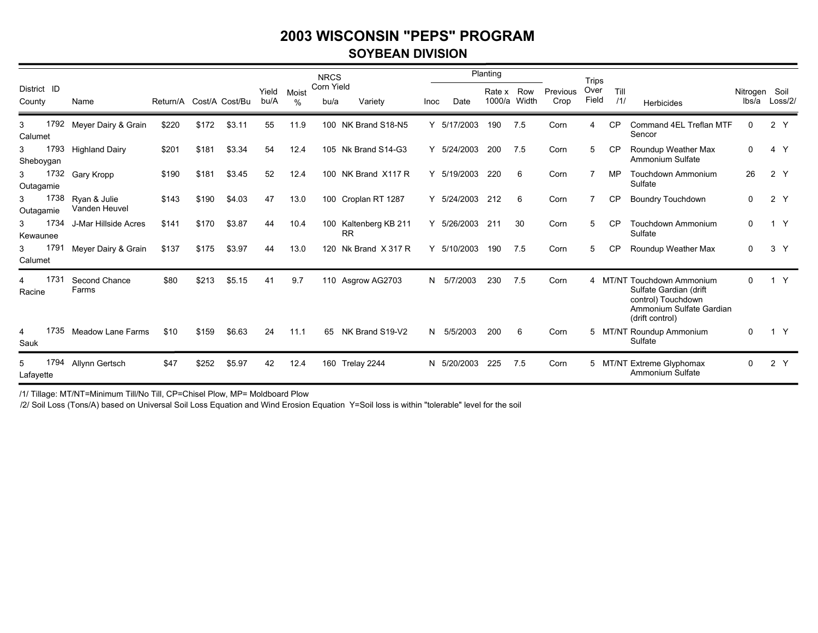### **SOYBEAN DIVISION**

|                       |      |                               |                         |       |        |               |            | <b>NRCS</b>        |                                    |      |             | Planting         |              |                  | <b>Trips</b>  |             |                                                                                                                           |                        |                |
|-----------------------|------|-------------------------------|-------------------------|-------|--------|---------------|------------|--------------------|------------------------------------|------|-------------|------------------|--------------|------------------|---------------|-------------|---------------------------------------------------------------------------------------------------------------------------|------------------------|----------------|
| District ID<br>County |      | Name                          | Return/A Cost/A Cost/Bu |       |        | Yield<br>bu/A | Moist<br>% | Corn Yield<br>bu/a | Variety                            | Inoc | Date        | Rate x<br>1000/a | Row<br>Width | Previous<br>Crop | Over<br>Field | Till<br>111 | <b>Herbicides</b>                                                                                                         | Nitrogen Soil<br>lbs/a | Loss/2/        |
| 3<br>Calumet          |      | 1792 Meyer Dairy & Grain      | \$220                   | \$172 | \$3.11 | 55            | 11.9       |                    | 100 NK Brand S18-N5                |      | Y 5/17/2003 | 190              | -7.5         | Corn             | 4             | <b>CP</b>   | Command 4EL Treflan MTF<br>Sencor                                                                                         | 0                      | 2 Y            |
| 3<br>Sheboygan        | 1793 | <b>Highland Dairy</b>         | \$201                   | \$181 | \$3.34 | 54            | 12.4       |                    | 105 Nk Brand S14-G3                |      | Y 5/24/2003 | 200              | 7.5          | Corn             | 5             | <b>CP</b>   | Roundup Weather Max<br>Ammonium Sulfate                                                                                   | $\mathbf 0$            | 4 Y            |
| 3<br>Outagamie        | 1732 | Gary Kropp                    | \$190                   | \$181 | \$3.45 | 52            | 12.4       |                    | 100 NK Brand X117 R                | Y    | 5/19/2003   | 220              | 6            | Corn             |               | MP          | Touchdown Ammonium<br>Sulfate                                                                                             | 26                     | 2 Y            |
| 3<br>Outagamie        | 1738 | Ryan & Julie<br>Vanden Heuvel | \$143                   | \$190 | \$4.03 | 47            | 13.0       |                    | 100 Croplan RT 1287                |      | Y 5/24/2003 | 212              | 6            | Corn             | 7             | <b>CP</b>   | <b>Boundry Touchdown</b>                                                                                                  | $\mathbf 0$            | 2Y             |
| 3<br>Kewaunee         | 1734 | J-Mar Hillside Acres          | \$141                   | \$170 | \$3.87 | 44            | 10.4       |                    | 100 Kaltenberg KB 211<br><b>RR</b> | Y    | 5/26/2003   | 211              | 30           | Corn             | 5             | <b>CP</b>   | <b>Touchdown Ammonium</b><br>Sulfate                                                                                      | 0                      | $\mathsf{Y}$   |
| 3<br>Calumet          | 1791 | Meyer Dairy & Grain           | \$137                   | \$175 | \$3.97 | 44            | 13.0       | 120                | Nk Brand X 317 R                   |      | Y 5/10/2003 | 190              | 7.5          | Corn             | 5             | <b>CP</b>   | Roundup Weather Max                                                                                                       | 0                      | 3 <sup>7</sup> |
| 4<br>Racine           | 1731 | Second Chance<br>Farms        | \$80                    | \$213 | \$5.15 | 41            | 9.7        |                    | 110 Asgrow AG2703                  |      | N 5/7/2003  | 230              | 7.5          | Corn             |               |             | 4 MT/NT Touchdown Ammonium<br>Sulfate Gardian (drift<br>control) Touchdown<br>Ammonium Sulfate Gardian<br>(drift control) | 0                      | 1 Y            |
| 4<br>Sauk             | 1735 | <b>Meadow Lane Farms</b>      | \$10                    | \$159 | \$6.63 | 24            | 11.1       | 65                 | NK Brand S19-V2                    |      | N 5/5/2003  | 200              | 6            | Corn             |               |             | 5 MT/NT Roundup Ammonium<br>Sulfate                                                                                       | 0                      | 1 Y            |
| 5<br>Lafayette        | 1794 | Allynn Gertsch                | \$47                    | \$252 | \$5.97 | 42            | 12.4       |                    | 160 Trelay 2244                    |      | N 5/20/2003 | 225              | 7.5          | Corn             |               |             | 5 MT/NT Extreme Glyphomax<br>Ammonium Sulfate                                                                             | 0                      | 2 <sup>Y</sup> |

/1/ Tillage: MT/NT=Minimum Till/No Till, CP=Chisel Plow, MP= Moldboard Plow

/2/ Soil Loss (Tons/A) based on Universal Soil Loss Equation and Wind Erosion Equation Y=Soil loss is within "tolerable" level for the soil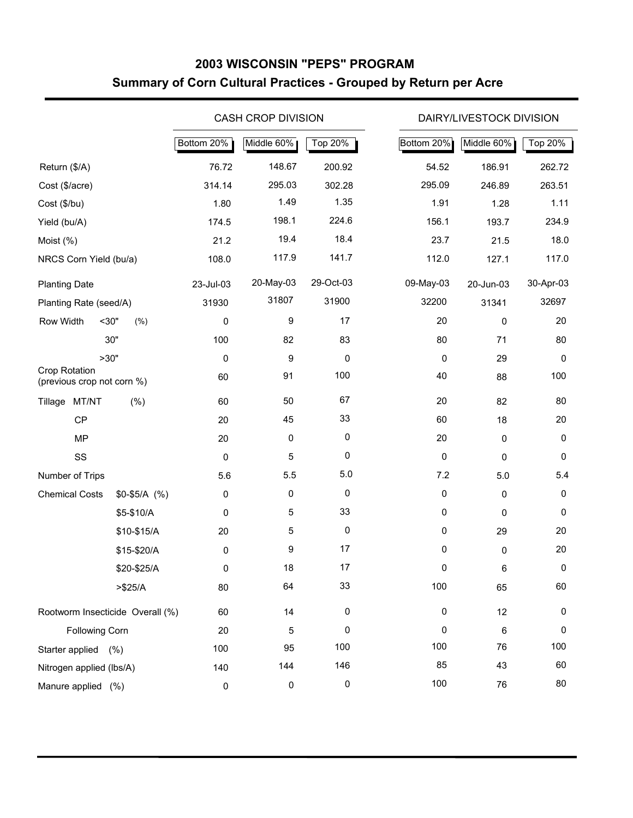## **2003 WISCONSIN "PEPS" PROGRAM Summary of Corn Cultural Practices - Grouped by Return per Acre**

|                                                    |                |            | <b>CASH CROP DIVISION</b> |           |            | DAIRY/LIVESTOCK DIVISION |           |
|----------------------------------------------------|----------------|------------|---------------------------|-----------|------------|--------------------------|-----------|
|                                                    |                | Bottom 20% | Middle 60%                | Top 20%   | Bottom 20% | Middle 60%               | Top 20%   |
| Return (\$/A)                                      |                | 76.72      | 148.67                    | 200.92    | 54.52      | 186.91                   | 262.72    |
| Cost (\$/acre)                                     |                | 314.14     | 295.03                    | 302.28    | 295.09     | 246.89                   | 263.51    |
| Cost (\$/bu)                                       |                | 1.80       | 1.49                      | 1.35      | 1.91       | 1.28                     | 1.11      |
| Yield (bu/A)                                       |                | 174.5      | 198.1                     | 224.6     | 156.1      | 193.7                    | 234.9     |
| Moist (%)                                          |                | 21.2       | 19.4                      | 18.4      | 23.7       | 21.5                     | 18.0      |
| NRCS Corn Yield (bu/a)                             |                | 108.0      | 117.9                     | 141.7     | 112.0      | 127.1                    | 117.0     |
| <b>Planting Date</b>                               |                | 23-Jul-03  | 20-May-03                 | 29-Oct-03 | 09-May-03  | 20-Jun-03                | 30-Apr-03 |
| Planting Rate (seed/A)                             |                | 31930      | 31807                     | 31900     | 32200      | 31341                    | 32697     |
| Row Width                                          | $30$ "<br>(% ) | $\pmb{0}$  | 9                         | 17        | 20         | 0                        | 20        |
|                                                    | 30"            | 100        | 82                        | 83        | 80         | 71                       | 80        |
|                                                    | >30"           | 0          | 9                         | 0         | 0          | 29                       | 0         |
| <b>Crop Rotation</b><br>(previous crop not corn %) |                | 60         | 91                        | 100       | 40         | 88                       | 100       |
| MT/NT<br>Tillage                                   | (%)            | 60         | 50                        | 67        | 20         | 82                       | 80        |
| CP                                                 |                | 20         | 45                        | 33        | 60         | 18                       | 20        |
| <b>MP</b>                                          |                | 20         | $\mathbf 0$               | 0         | 20         | 0                        | 0         |
| SS                                                 |                | $\pmb{0}$  | 5                         | 0         | $\pmb{0}$  | 0                        | 0         |
| Number of Trips                                    |                | 5.6        | 5.5                       | 5.0       | 7.2        | 5.0                      | 5.4       |
| <b>Chemical Costs</b>                              | $$0-$5/A$ (%)  | $\pmb{0}$  | 0                         | 0         | 0          | 0                        | 0         |
|                                                    | \$5-\$10/A     | $\pmb{0}$  | 5                         | 33        | 0          | 0                        | 0         |
|                                                    | \$10-\$15/A    | 20         | 5                         | 0         | 0          | 29                       | 20        |
|                                                    | \$15-\$20/A    | $\pmb{0}$  | 9                         | 17        | 0          | 0                        | 20        |
|                                                    | \$20-\$25/A    | 0          | 18                        | 17        | 0          | 6                        | 0         |
|                                                    | > \$25/A       | 80         | 64                        | 33        | 100        | 65                       | 60        |
| Rootworm Insecticide Overall (%)                   |                | 60         | 14                        | 0         | 0          | 12                       | 0         |
| Following Corn                                     |                | 20         | 5                         | 0         | 0          | 6                        | 0         |
| Starter applied (%)                                |                | 100        | 95                        | 100       | 100        | 76                       | 100       |
| Nitrogen applied (lbs/A)                           |                | 140        | 144                       | 146       | 85         | 43                       | 60        |
| Manure applied (%)                                 |                | $\pmb{0}$  | 0                         | 0         | 100        | 76                       | 80        |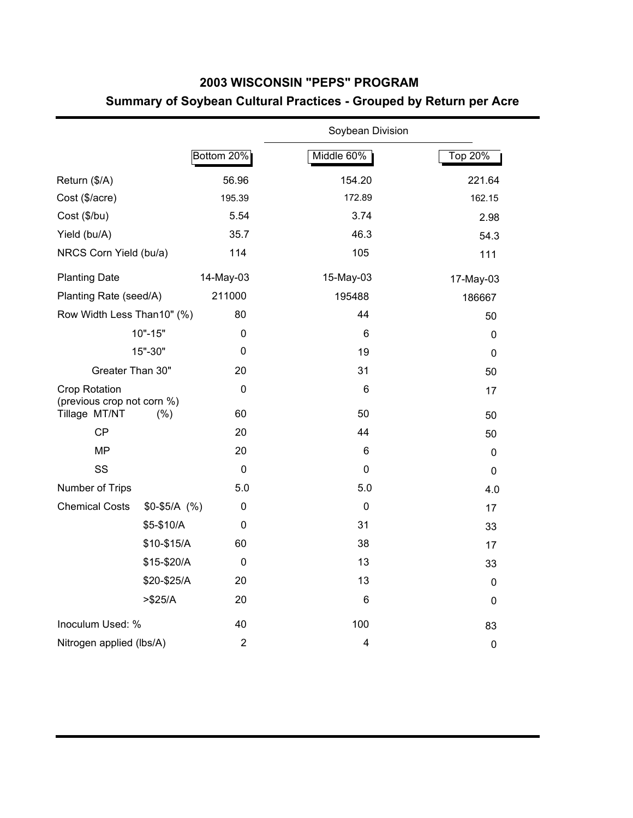## **2003 WISCONSIN "PEPS" PROGRAM Summary of Soybean Cultural Practices - Grouped by Return per Acre**

|                                                    |               |                | Soybean Division |             |
|----------------------------------------------------|---------------|----------------|------------------|-------------|
|                                                    |               | Bottom 20%     | Middle 60%       | Top 20%     |
| Return (\$/A)                                      |               | 56.96          | 154.20           | 221.64      |
| Cost (\$/acre)                                     |               | 195.39         | 172.89           | 162.15      |
| Cost (\$/bu)                                       |               | 5.54           | 3.74             | 2.98        |
| Yield (bu/A)                                       |               | 35.7           | 46.3             | 54.3        |
| NRCS Corn Yield (bu/a)                             |               | 114            | 105              | 111         |
| <b>Planting Date</b>                               |               | 14-May-03      | 15-May-03        | 17-May-03   |
| Planting Rate (seed/A)                             |               | 211000         | 195488           | 186667      |
| Row Width Less Than10" (%)                         |               | 80             | 44               | 50          |
|                                                    | $10" - 15"$   | 0              | 6                | 0           |
|                                                    | 15"-30"       | 0              | 19               | $\mathbf 0$ |
| Greater Than 30"                                   |               | 20             | 31               | 50          |
| <b>Crop Rotation</b><br>(previous crop not corn %) |               | $\mathbf 0$    | 6                | 17          |
| Tillage MT/NT                                      | (% )          | 60             | 50               | 50          |
| CP                                                 |               | 20             | 44               | 50          |
| <b>MP</b>                                          |               | 20             | 6                | $\mathbf 0$ |
| SS                                                 |               | $\mathbf 0$    | $\mathbf 0$      | $\mathbf 0$ |
| Number of Trips                                    |               | 5.0            | 5.0              | 4.0         |
| <b>Chemical Costs</b>                              | $$0-$5/A$ (%) | 0              | $\mathbf 0$      | 17          |
|                                                    | \$5-\$10/A    | 0              | 31               | 33          |
|                                                    | \$10-\$15/A   | 60             | 38               | 17          |
|                                                    | \$15-\$20/A   | $\mathbf 0$    | 13               | 33          |
|                                                    | \$20-\$25/A   | 20             | 13               | $\pmb{0}$   |
|                                                    | > \$25/A      | 20             | 6                | $\mathbf 0$ |
| Inoculum Used: %                                   |               | 40             | 100              | 83          |
| Nitrogen applied (lbs/A)                           |               | $\overline{2}$ | 4                | $\mathbf 0$ |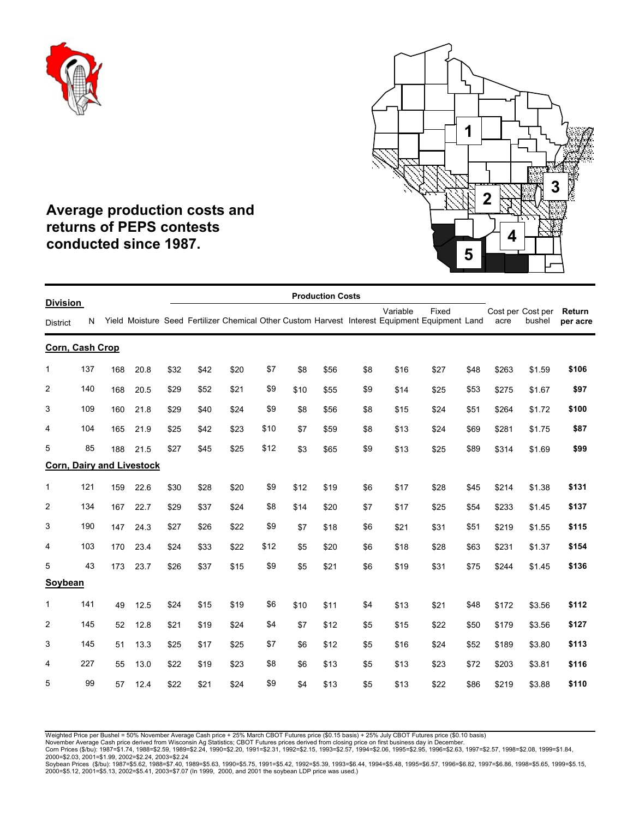



## **Average production costs and returns of PEPS contests conducted since 1987.**

|                                    |     |     |                                  |      |      |      |      |      | <b>Production Costs</b> |     |          |                                                                                                         |      |       |                             |                    |
|------------------------------------|-----|-----|----------------------------------|------|------|------|------|------|-------------------------|-----|----------|---------------------------------------------------------------------------------------------------------|------|-------|-----------------------------|--------------------|
| <b>Division</b><br><b>District</b> | N   |     |                                  |      |      |      |      |      |                         |     | Variable | Fixed<br>Yield Moisture Seed Fertilizer Chemical Other Custom Harvest Interest Equipment Equipment Land |      | acre  | Cost per Cost per<br>bushel | Return<br>per acre |
| Corn, Cash Crop                    |     |     |                                  |      |      |      |      |      |                         |     |          |                                                                                                         |      |       |                             |                    |
| $\mathbf{1}$                       | 137 | 168 | 20.8                             | \$32 | \$42 | \$20 | \$7  | \$8  | \$56                    | \$8 | \$16     | \$27                                                                                                    | \$48 | \$263 | \$1.59                      | \$106              |
| $\overline{c}$                     | 140 | 168 | 20.5                             | \$29 | \$52 | \$21 | \$9  | \$10 | \$55                    | \$9 | \$14     | \$25                                                                                                    | \$53 | \$275 | \$1.67                      | \$97               |
| 3                                  | 109 | 160 | 21.8                             | \$29 | \$40 | \$24 | \$9  | \$8  | \$56                    | \$8 | \$15     | \$24                                                                                                    | \$51 | \$264 | \$1.72                      | \$100              |
| 4                                  | 104 | 165 | 21.9                             | \$25 | \$42 | \$23 | \$10 | \$7  | \$59                    | \$8 | \$13     | \$24                                                                                                    | \$69 | \$281 | \$1.75                      | \$87               |
| 5                                  | 85  | 188 | 21.5                             | \$27 | \$45 | \$25 | \$12 | \$3  | \$65                    | \$9 | \$13     | \$25                                                                                                    | \$89 | \$314 | \$1.69                      | \$99               |
|                                    |     |     | <b>Corn, Dairy and Livestock</b> |      |      |      |      |      |                         |     |          |                                                                                                         |      |       |                             |                    |
| $\mathbf{1}$                       | 121 | 159 | 22.6                             | \$30 | \$28 | \$20 | \$9  | \$12 | \$19                    | \$6 | \$17     | \$28                                                                                                    | \$45 | \$214 | \$1.38                      | \$131              |
| $\overline{2}$                     | 134 | 167 | 22.7                             | \$29 | \$37 | \$24 | \$8  | \$14 | \$20                    | \$7 | \$17     | \$25                                                                                                    | \$54 | \$233 | \$1.45                      | \$137              |
| 3                                  | 190 | 147 | 24.3                             | \$27 | \$26 | \$22 | \$9  | \$7  | \$18                    | \$6 | \$21     | \$31                                                                                                    | \$51 | \$219 | \$1.55                      | \$115              |
| 4                                  | 103 | 170 | 23.4                             | \$24 | \$33 | \$22 | \$12 | \$5  | \$20                    | \$6 | \$18     | \$28                                                                                                    | \$63 | \$231 | \$1.37                      | \$154              |
| 5                                  | 43  | 173 | 23.7                             | \$26 | \$37 | \$15 | \$9  | \$5  | \$21                    | \$6 | \$19     | \$31                                                                                                    | \$75 | \$244 | \$1.45                      | \$136              |
| Soybean                            |     |     |                                  |      |      |      |      |      |                         |     |          |                                                                                                         |      |       |                             |                    |
| $\mathbf{1}$                       | 141 | 49  | 12.5                             | \$24 | \$15 | \$19 | \$6  | \$10 | \$11                    | \$4 | \$13     | \$21                                                                                                    | \$48 | \$172 | \$3.56                      | \$112              |
| $\overline{2}$                     | 145 | 52  | 12.8                             | \$21 | \$19 | \$24 | \$4  | \$7  | \$12                    | \$5 | \$15     | \$22                                                                                                    | \$50 | \$179 | \$3.56                      | \$127              |
| 3                                  | 145 | 51  | 13.3                             | \$25 | \$17 | \$25 | \$7  | \$6  | \$12                    | \$5 | \$16     | \$24                                                                                                    | \$52 | \$189 | \$3.80                      | \$113              |
| 4                                  | 227 | 55  | 13.0                             | \$22 | \$19 | \$23 | \$8  | \$6  | \$13                    | \$5 | \$13     | \$23                                                                                                    | \$72 | \$203 | \$3.81                      | \$116              |
| 5                                  | 99  | 57  | 12.4                             | \$22 | \$21 | \$24 | \$9  | \$4  | \$13                    | \$5 | \$13     | \$22                                                                                                    | \$86 | \$219 | \$3.88                      | \$110              |

Weighted Price per Bushel = 50% November Average Cash price + 25% March CBOT Futures price (\$0.15 basis) + 25% July CBOT Futures price (\$0.10 basis)<br>November Average Cash price derived from Wisconsin Ag Statistics; CBOT Fu

2000=\$5.12, 2001=\$5.13, 2002=\$5.41, 2003=\$7.07 (In 1999, 2000, and 2001 the soybean LDP price was used.)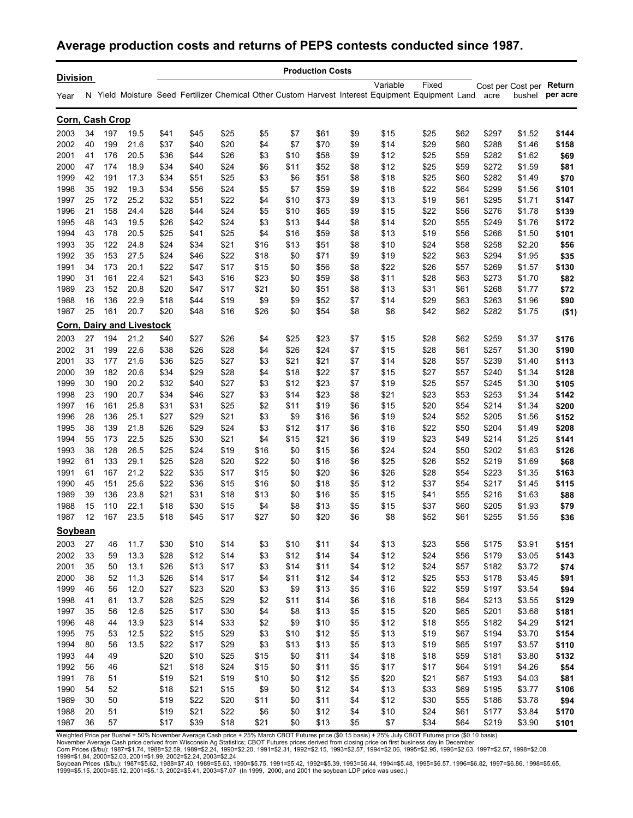## **Average production costs and returns of PEPS contests conducted since 1987.**

| <b>Division</b> |    |                 |                                  |      |      |      |      |      | <b>Production Costs</b> |     |          |                                                                                                                |      |       |                                    |          |
|-----------------|----|-----------------|----------------------------------|------|------|------|------|------|-------------------------|-----|----------|----------------------------------------------------------------------------------------------------------------|------|-------|------------------------------------|----------|
| Year            |    |                 |                                  |      |      |      |      |      |                         |     | Variable | Fixed<br>N Yield Moisture Seed Fertilizer Chemical Other Custom Harvest Interest Equipment Equipment Land acre |      |       | Cost per Cost per Return<br>bushel | per acre |
|                 |    | Corn, Cash Crop |                                  |      |      |      |      |      |                         |     |          |                                                                                                                |      |       |                                    |          |
| 2003            | 34 | 197             | 19.5                             | \$41 | \$45 | \$25 | \$5  | \$7  | \$61                    | \$9 | \$15     | \$25                                                                                                           | \$62 | \$297 | \$1.52                             | \$144    |
| 2002            | 40 | 199             | 21.6                             | \$37 | \$40 | \$20 | \$4  | \$7  | \$70                    | \$9 | \$14     | \$29                                                                                                           | \$60 | \$288 | \$1.46                             | \$158    |
| 2001            | 41 | 176             | 20.5                             | \$36 | \$44 | \$26 | \$3  | \$10 | \$58                    | \$9 | \$12     | \$25                                                                                                           | \$59 | \$282 | \$1.62                             | \$69     |
| 2000            | 47 | 174             | 18.9                             | \$34 | \$40 | \$24 | \$6  | \$11 | \$52                    | \$8 | \$12     | \$25                                                                                                           | \$59 | \$272 | \$1.59                             | \$81     |
| 1999            | 42 | 191             | 17.3                             | \$34 | \$51 | \$25 | \$3  | \$6  | \$51                    | \$8 | \$18     | \$25                                                                                                           | \$60 | \$282 | \$1.49                             | \$70     |
| 1998            | 35 | 192             | 19.3                             | \$34 | \$56 | \$24 | \$5  | \$7  | \$59                    | \$9 | \$18     | \$22                                                                                                           | \$64 | \$299 | \$1.56                             | \$101    |
| 1997            | 25 | 172             | 25.2                             | \$32 | \$51 | \$22 | \$4  | \$10 | \$73                    | \$9 | \$13     | \$19                                                                                                           | \$61 | \$295 | \$1.71                             | \$147    |
| 1996            | 21 | 158             | 24.4                             | \$28 | \$44 | \$24 | \$5  | \$10 | \$65                    | \$9 | \$15     | \$22                                                                                                           | \$56 | \$276 | \$1.78                             | \$139    |
| 1995            | 48 | 143             | 19.5                             | \$26 | \$42 | \$24 | \$3  | \$13 | \$44                    | \$8 | \$14     | \$20                                                                                                           | \$55 | \$249 | \$1.76                             | \$172    |
| 1994            | 43 | 178             | 20.5                             | \$25 | \$41 | \$25 | \$4  | \$16 | \$59                    | \$8 | \$13     | \$19                                                                                                           | \$56 | \$266 | \$1.50                             | \$101    |
| 1993            | 35 | 122             | 24.8                             | \$24 | \$34 | \$21 | \$16 | \$13 | \$51                    | \$8 | \$10     | \$24                                                                                                           | \$58 | \$258 | \$2.20                             | \$56     |
| 1992            | 35 | 153             | 27.5                             | \$24 | \$46 | \$22 | \$18 | \$0  | \$71                    | \$9 | \$19     | \$22                                                                                                           | \$63 | \$294 | \$1.95                             | \$35     |
| 1991            | 34 | 173             | 20.1                             | \$22 | \$47 | \$17 | \$15 | \$0  | \$56                    | \$8 | \$22     | \$26                                                                                                           | \$57 | \$269 | \$1.57                             | \$130    |
| 1990            | 31 | 161             | 22.4                             | \$21 | \$43 | \$16 | \$23 | \$0  | \$59                    | \$8 | \$11     | \$28                                                                                                           | \$63 | \$273 | \$1.70                             | \$82     |
| 1989            | 23 | 152             | 20.8                             | \$20 | \$47 | \$17 | \$21 | \$0  | \$51                    | \$8 | \$13     | \$31                                                                                                           | \$61 | \$268 | \$1.77                             | \$72     |
| 1988            | 16 | 136             | 22.9                             | \$18 | \$44 | \$19 | \$9  | \$9  | \$52                    | \$7 | \$14     | \$29                                                                                                           | \$63 | \$263 | \$1.96                             | \$90     |
| 1987            | 25 | 161             | 20.7                             | \$20 | \$48 | \$16 | \$26 | \$0  | \$54                    | \$8 | \$6      | \$42                                                                                                           | \$62 | \$282 | \$1.75                             | ( \$1)   |
|                 |    |                 | <b>Corn, Dairy and Livestock</b> |      |      |      |      |      |                         |     |          |                                                                                                                |      |       |                                    |          |
| 2003            | 27 | 194             | 21.2                             | \$40 | \$27 | \$26 | \$4  | \$25 | \$23                    | \$7 | \$15     | \$28                                                                                                           | \$62 | \$259 | \$1.37                             | \$176    |
| 2002            | 31 | 199             | 22.6                             | \$38 | \$26 | \$28 | \$4  | \$26 | \$24                    | \$7 | \$15     | \$28                                                                                                           | \$61 | \$257 | \$1.30                             | \$190    |
| 2001            | 33 | 177             | 21.6                             | \$36 | \$25 | \$27 | \$3  | \$21 | \$21                    | \$7 | \$14     | \$28                                                                                                           | \$57 | \$239 | \$1.40                             | \$113    |
| 2000            | 39 | 182             | 20.6                             | \$34 | \$29 | \$28 | \$4  | \$18 | \$22                    | \$7 | \$15     | \$27                                                                                                           | \$57 | \$240 | \$1.34                             | \$128    |
| 1999            | 30 | 190             | 20.2                             | \$32 | \$40 | \$27 | \$3  | \$12 | \$23                    | \$7 | \$19     | \$25                                                                                                           | \$57 | \$245 | \$1.30                             | \$105    |
| 1998            | 23 | 190             | 20.7                             | \$34 | \$46 | \$27 | \$3  | \$14 | \$23                    | \$8 | \$21     | \$23                                                                                                           | \$53 | \$253 | \$1.34                             | \$142    |
| 1997            | 16 | 161             | 25.8                             | \$31 | \$31 | \$25 | \$2  | \$11 | \$19                    | \$6 | \$15     | \$20                                                                                                           | \$54 | \$214 | \$1.34                             | \$200    |
| 1996            | 28 | 136             | 25.1                             | \$27 | \$29 | \$21 | \$3  | \$9  | \$16                    | \$6 | \$19     | \$24                                                                                                           | \$52 | \$205 | \$1.56                             | \$152    |
| 1995            | 38 | 139             | 21.8                             | \$26 | \$29 | \$24 | \$3  | \$12 | \$17                    | \$6 | \$16     | \$22                                                                                                           | \$50 | \$204 | \$1.49                             | \$208    |
| 1994            | 55 | 173             | 22.5                             | \$25 | \$30 | \$21 | \$4  | \$15 | \$21                    | \$6 | \$19     | \$23                                                                                                           | \$49 | \$214 | \$1.25                             | \$141    |
| 1993            | 38 | 128             | 26.5                             | \$25 | \$24 | \$19 | \$16 | \$0  | \$15                    | \$6 | \$24     | \$24                                                                                                           | \$50 | \$202 | \$1.63                             | \$126    |
| 1992            | 61 | 133             | 29.1                             | \$25 | \$28 | \$20 | \$22 | \$0  | \$16                    | \$6 | \$25     | \$26                                                                                                           | \$52 | \$219 | \$1.69                             | \$68     |
| 1991            | 61 | 167             | 21.2                             | \$22 | \$35 | \$17 | \$15 | \$0  | \$20                    | \$6 | \$26     | \$28                                                                                                           | \$54 | \$223 | \$1.35                             | \$163    |
| 1990            | 45 | 151             | 25.6                             | \$22 | \$36 | \$15 | \$16 | \$0  | \$18                    | \$5 | \$12     | \$37                                                                                                           | \$54 | \$217 | \$1.45                             | \$115    |
| 1989            | 39 | 136             | 23.8                             | \$21 | \$31 | \$18 | \$13 | \$0  | \$16                    | \$5 | \$15     | \$41                                                                                                           | \$55 | \$216 | \$1.63                             | \$88     |
| 1988            | 15 | 110             | 22.1                             | \$18 | \$30 | \$15 | \$4  | \$8  | \$13                    | \$5 | \$15     | \$37                                                                                                           | \$60 | \$205 | \$1.93                             | \$79     |
| 1987            | 12 | 167             | 23.5                             | \$18 | \$45 | \$17 | \$27 | \$0  | \$20                    | \$6 | \$8      | \$52                                                                                                           | \$61 | \$255 | \$1.55                             | \$36     |
| <b>Soybean</b>  |    |                 |                                  |      |      |      |      |      |                         |     |          |                                                                                                                |      |       |                                    |          |
| 2003            | 27 | 46              | 11.7                             | \$30 | \$10 | \$14 | \$3  | \$10 | \$11                    | \$4 | \$13     | \$23                                                                                                           | \$56 | \$175 | \$3.91                             | \$151    |
| 2002            | 33 | 59              | 13.3                             | \$28 | \$12 | \$14 | \$3  | \$12 | \$14                    | \$4 | \$12     | \$24                                                                                                           | \$56 | \$179 | \$3.05                             | \$143    |
| 2001            | 35 | 50              | 13.1                             | \$26 | \$13 | \$17 | \$3  | \$14 | \$11                    | \$4 | \$12     | \$24                                                                                                           | \$57 | \$182 | \$3.72                             | \$74     |
| 2000            | 38 | 52              | 11.3                             | \$26 | \$14 | \$17 | \$4  | \$11 | \$12                    | \$4 | \$12     | \$25                                                                                                           | \$53 | \$178 | \$3.45                             | \$91     |
| 1999            | 46 | 56              | 12.0                             | \$27 | \$23 | \$20 | \$3  | \$9  | \$13                    | \$5 | \$16     | \$22                                                                                                           | \$59 | \$197 | \$3.54                             | \$94     |
| 1998            | 41 | 61              | 13.7                             | \$28 | \$25 | \$29 | \$2  | \$11 | \$14                    | \$6 | \$16     | \$18                                                                                                           | \$64 | \$213 | \$3.55                             | \$129    |
| 1997            | 35 | 56              | 12.6                             | \$25 | \$17 | \$30 | \$4  | \$8  | \$13                    | \$5 | \$15     | \$20                                                                                                           | \$65 | \$201 | \$3.68                             | \$181    |
| 1996            | 48 | 44              | 13.9                             | \$23 | \$14 | \$33 | \$2  | \$9  | \$10                    | \$5 | \$12     | \$18                                                                                                           | \$55 | \$182 | \$4.29                             | \$121    |
| 1995            | 75 | 53              | 12.5                             | \$22 | \$15 | \$29 | \$3  | \$10 | \$12                    | \$5 | \$13     | \$19                                                                                                           | \$67 | \$194 | \$3.70                             | \$154    |
| 1994            | 80 | 56              | 13.5                             | \$22 | \$17 | \$29 | \$3  | \$13 | \$13                    | \$5 | \$13     | \$19                                                                                                           | \$65 | \$197 | \$3.57                             | \$110    |
| 1993            | 44 | 49              |                                  | \$20 | \$10 | \$25 | \$15 | \$0  | \$11                    | \$4 | \$18     | \$18                                                                                                           | \$59 | \$181 | \$3.80                             | \$132    |
| 1992            | 56 | 46              |                                  | \$21 | \$18 | \$24 | \$15 | \$0  | \$11                    | \$5 | \$17     | \$17                                                                                                           | \$64 | \$191 | \$4.26                             | \$54     |
| 1991            | 78 | 51              |                                  | \$19 | \$21 | \$19 | \$10 | \$0  | \$12                    | \$5 | \$20     | \$21                                                                                                           | \$67 | \$193 | \$4.03                             | \$81     |
| 1990            | 54 | 52              |                                  | \$18 | \$21 | \$15 | \$9  | \$0  | \$12                    | \$4 | \$13     | \$33                                                                                                           | \$69 | \$195 | \$3.77                             | \$106    |
| 1989            | 30 | 50              |                                  | \$19 | \$22 | \$20 | \$11 | \$0  | \$11                    | \$4 | \$12     | \$30                                                                                                           | \$55 | \$186 | \$3.78                             | \$94     |
| 1988            | 20 | 51              |                                  | \$19 | \$21 | \$22 | \$6  | \$0  | \$12                    | \$4 | \$10     | \$24                                                                                                           | \$61 | \$177 | \$3.84                             | \$170    |
| 1987            | 36 | 57              |                                  | \$17 | \$39 | \$18 | \$21 | \$0  | \$13                    | \$5 | \$7      | \$34                                                                                                           | \$64 | \$219 | \$3.90                             | \$101    |

Weighted Price per Bushel = 50% November Average Cash price + 25% March CBOT Futures price (\$0.15 basis) + 25% July CBOT Futures price (\$0.10 basis)<br>November Average Cash price derived from Wisconsin Ag Statistics; CBOT Fu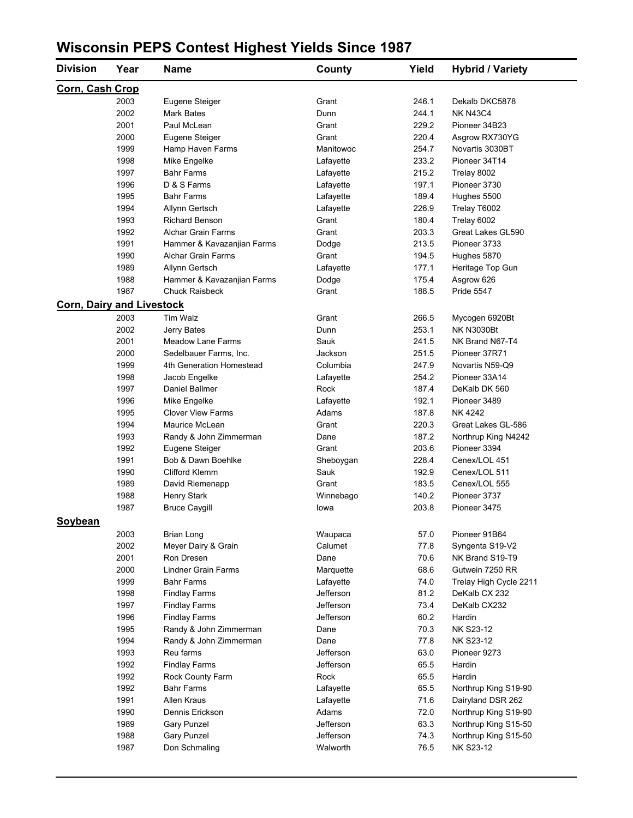# **Wisconsin PEPS Contest Highest Yields Since 1987**

| <b>Division</b>                  | Year | <b>Name</b>                | County    | Yield | <b>Hybrid / Variety</b> |
|----------------------------------|------|----------------------------|-----------|-------|-------------------------|
| Corn, Cash Crop                  |      |                            |           |       |                         |
|                                  | 2003 | Eugene Steiger             | Grant     | 246.1 | Dekalb DKC5878          |
|                                  | 2002 | <b>Mark Bates</b>          | Dunn      | 244.1 | <b>NK N43C4</b>         |
|                                  | 2001 | Paul McLean                | Grant     | 229.2 | Pioneer 34B23           |
|                                  | 2000 | Eugene Steiger             | Grant     | 220.4 | Asgrow RX730YG          |
|                                  | 1999 | Hamp Haven Farms           | Manitowoc | 254.7 | Novartis 3030BT         |
|                                  | 1998 | Mike Engelke               | Lafayette | 233.2 | Pioneer 34T14           |
|                                  | 1997 | <b>Bahr Farms</b>          | Lafayette | 215.2 | Trelay 8002             |
|                                  | 1996 | D & S Farms                | Lafayette | 197.1 | Pioneer 3730            |
|                                  | 1995 | <b>Bahr Farms</b>          | Lafayette | 189.4 | Hughes 5500             |
|                                  | 1994 | Allynn Gertsch             | Lafayette | 226.9 | Trelay T6002            |
|                                  | 1993 | <b>Richard Benson</b>      | Grant     | 180.4 | Trelay 6002             |
|                                  | 1992 | <b>Alchar Grain Farms</b>  | Grant     | 203.3 | Great Lakes GL590       |
|                                  | 1991 | Hammer & Kavazanjian Farms | Dodge     | 213.5 | Pioneer 3733            |
|                                  | 1990 | <b>Alchar Grain Farms</b>  | Grant     | 194.5 | Hughes 5870             |
|                                  | 1989 | Allynn Gertsch             | Lafayette | 177.1 | Heritage Top Gun        |
|                                  | 1988 | Hammer & Kavazanjian Farms | Dodge     | 175.4 | Asgrow 626              |
|                                  | 1987 | <b>Chuck Raisbeck</b>      | Grant     | 188.5 | Pride 5547              |
| <b>Corn, Dairy and Livestock</b> |      |                            |           |       |                         |
|                                  | 2003 | Tim Walz                   | Grant     | 266.5 | Mycogen 6920Bt          |
|                                  | 2002 | Jerry Bates                | Dunn      | 253.1 | <b>NK N3030Bt</b>       |
|                                  | 2001 | <b>Meadow Lane Farms</b>   | Sauk      | 241.5 | NK Brand N67-T4         |
|                                  | 2000 | Sedelbauer Farms, Inc.     | Jackson   | 251.5 | Pioneer 37R71           |
|                                  | 1999 | 4th Generation Homestead   | Columbia  | 247.9 | Novartis N59-Q9         |
|                                  | 1998 | Jacob Engelke              | Lafayette | 2542  | Pioneer 33A14           |
|                                  | 1997 | Daniel Ballmer             | Rock      | 187.4 | DeKalb DK 560           |
|                                  | 1996 | Mike Engelke               | Lafayette | 192.1 | Pioneer 3489            |
|                                  | 1995 | <b>Clover View Farms</b>   | Adams     | 187.8 | NK 4242                 |
|                                  | 1994 | Maurice McLean             | Grant     | 220.3 | Great Lakes GL-586      |
|                                  | 1993 | Randy & John Zimmerman     | Dane      | 187.2 | Northrup King N4242     |
|                                  | 1992 | Eugene Steiger             | Grant     | 203.6 | Pioneer 3394            |
|                                  | 1991 | Bob & Dawn Boehlke         | Sheboygan | 228.4 | Cenex/LOL 451           |
|                                  | 1990 | Clifford Klemm             | Sauk      | 192.9 | Cenex/LOL 511           |
|                                  | 1989 | David Riemenapp            | Grant     | 183.5 | Cenex/LOL 555           |
|                                  | 1988 | Henry Stark                | Winnebago | 140.2 | Pioneer 3737            |
|                                  | 1987 | <b>Bruce Caygill</b>       | lowa      | 203.8 | Pioneer 3475            |
| Soybean                          |      |                            |           |       |                         |
|                                  | 2003 | Brian Long                 | Waupaca   | 57.0  | Pioneer 91B64           |
|                                  | 2002 | Meyer Dairy & Grain        | Calumet   | 77.8  | Syngenta S19-V2         |
|                                  | 2001 | Ron Dresen                 | Dane      | 70.6  | NK Brand S19-T9         |
|                                  | 2000 | <b>Lindner Grain Farms</b> | Marquette | 68.6  | Gutwein 7250 RR         |
|                                  | 1999 | <b>Bahr Farms</b>          | Lafayette | 74.0  | Trelay High Cycle 2211  |
|                                  | 1998 | <b>Findlay Farms</b>       | Jefferson | 81.2  | DeKalb CX 232           |
|                                  | 1997 | <b>Findlay Farms</b>       | Jefferson | 73.4  | DeKalb CX232            |
|                                  | 1996 | <b>Findlay Farms</b>       | Jefferson | 60.2  | Hardin                  |
|                                  | 1995 | Randy & John Zimmerman     | Dane      | 70.3  | NK S23-12               |
|                                  | 1994 | Randy & John Zimmerman     | Dane      | 77.8  | NK S23-12               |
|                                  | 1993 | Reu farms                  | Jefferson | 63.0  | Pioneer 9273            |
|                                  | 1992 | <b>Findlay Farms</b>       | Jefferson | 65.5  | Hardin                  |
|                                  | 1992 | Rock County Farm           | Rock      | 65.5  | Hardin                  |
|                                  | 1992 | <b>Bahr Farms</b>          | Lafayette | 65.5  | Northrup King S19-90    |
|                                  | 1991 | Allen Kraus                | Lafayette | 71.6  | Dairyland DSR 262       |
|                                  | 1990 | Dennis Erickson            | Adams     | 72.0  | Northrup King S19-90    |
|                                  | 1989 | Gary Punzel                | Jefferson | 63.3  | Northrup King S15-50    |
|                                  | 1988 | <b>Gary Punzel</b>         | Jefferson | 74.3  | Northrup King S15-50    |
|                                  | 1987 | Don Schmaling              | Walworth  | 76.5  | NK S23-12               |